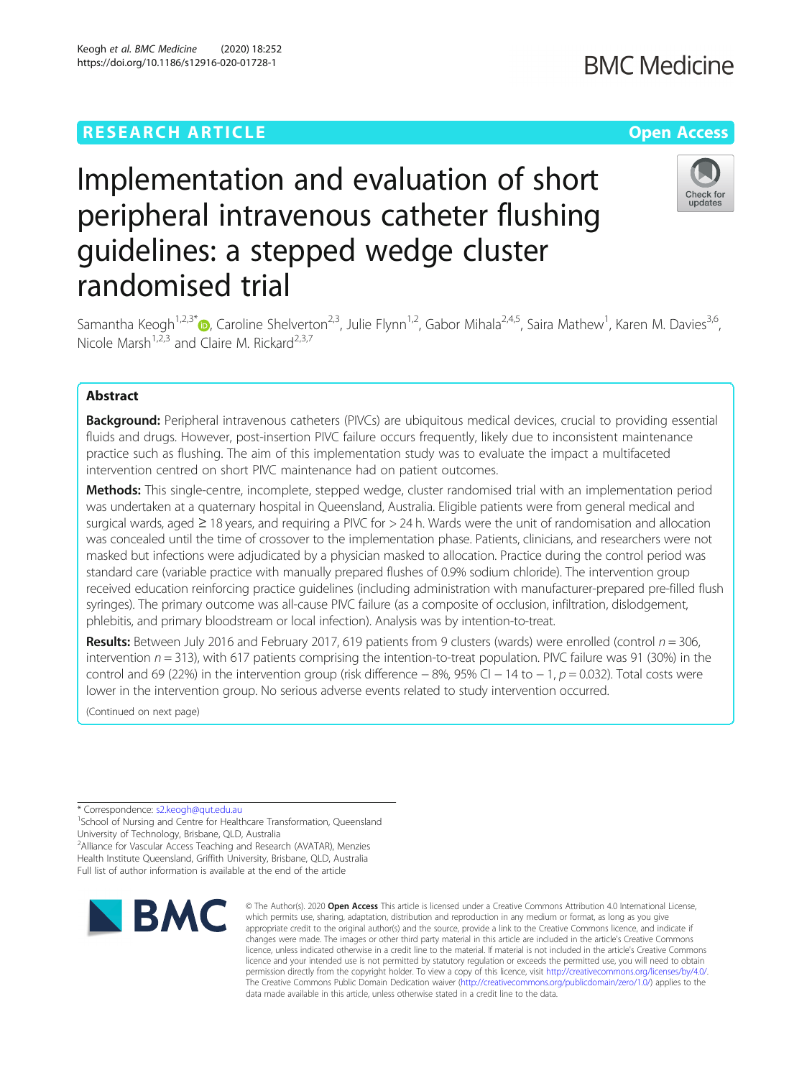# **RESEARCH ARTICLE Example 2018 12:30 THE Open Access**

# Implementation and evaluation of short peripheral intravenous catheter flushing guidelines: a stepped wedge cluster randomised trial

Samantha Keogh<sup>1,2,3[\\*](http://orcid.org/0000-0002-2797-4388)</sup>®, Caroline Shelverton<sup>2,3</sup>, Julie Flynn<sup>1,2</sup>, Gabor Mihala<sup>2,4,5</sup>, Saira Mathew<sup>1</sup>, Karen M. Davies<sup>3,6</sup>, Nicole Marsh<sup>1,2,3</sup> and Claire M. Rickard<sup>2,3,7</sup>

# Abstract

**Background:** Peripheral intravenous catheters (PIVCs) are ubiquitous medical devices, crucial to providing essential fluids and drugs. However, post-insertion PIVC failure occurs frequently, likely due to inconsistent maintenance practice such as flushing. The aim of this implementation study was to evaluate the impact a multifaceted intervention centred on short PIVC maintenance had on patient outcomes.

Methods: This single-centre, incomplete, stepped wedge, cluster randomised trial with an implementation period was undertaken at a quaternary hospital in Queensland, Australia. Eligible patients were from general medical and surgical wards, aged ≥ 18 years, and requiring a PIVC for > 24 h. Wards were the unit of randomisation and allocation was concealed until the time of crossover to the implementation phase. Patients, clinicians, and researchers were not masked but infections were adjudicated by a physician masked to allocation. Practice during the control period was standard care (variable practice with manually prepared flushes of 0.9% sodium chloride). The intervention group received education reinforcing practice guidelines (including administration with manufacturer-prepared pre-filled flush syringes). The primary outcome was all-cause PIVC failure (as a composite of occlusion, infiltration, dislodgement, phlebitis, and primary bloodstream or local infection). Analysis was by intention-to-treat.

Results: Between July 2016 and February 2017, 619 patients from 9 clusters (wards) were enrolled (control  $n = 306$ , intervention  $n = 313$ ), with 617 patients comprising the intention-to-treat population. PIVC failure was 91 (30%) in the control and 69 (22%) in the intervention group (risk difference  $-8\%$ , 95% CI  $-14$  to  $-1$ ,  $p = 0.032$ ). Total costs were lower in the intervention group. No serious adverse events related to study intervention occurred.

(Continued on next page)

\* Correspondence: [s2.keogh@qut.edu.au](mailto:s2.keogh@qut.edu.au) <sup>1</sup>

<sup>1</sup> School of Nursing and Centre for Healthcare Transformation, Queensland University of Technology, Brisbane, QLD, Australia

2 Alliance for Vascular Access Teaching and Research (AVATAR), Menzies Health Institute Queensland, Griffith University, Brisbane, QLD, Australia Full list of author information is available at the end of the article

© The Author(s), 2020 **Open Access** This article is licensed under a Creative Commons Attribution 4.0 International License, which permits use, sharing, adaptation, distribution and reproduction in any medium or format, as long as you give appropriate credit to the original author(s) and the source, provide a link to the Creative Commons licence, and indicate if changes were made. The images or other third party material in this article are included in the article's Creative Commons licence, unless indicated otherwise in a credit line to the material. If material is not included in the article's Creative Commons licence and your intended use is not permitted by statutory regulation or exceeds the permitted use, you will need to obtain permission directly from the copyright holder. To view a copy of this licence, visit [http://creativecommons.org/licenses/by/4.0/.](http://creativecommons.org/licenses/by/4.0/) The Creative Commons Public Domain Dedication waiver [\(http://creativecommons.org/publicdomain/zero/1.0/](http://creativecommons.org/publicdomain/zero/1.0/)) applies to the data made available in this article, unless otherwise stated in a credit line to the data.







**BMC Medicine**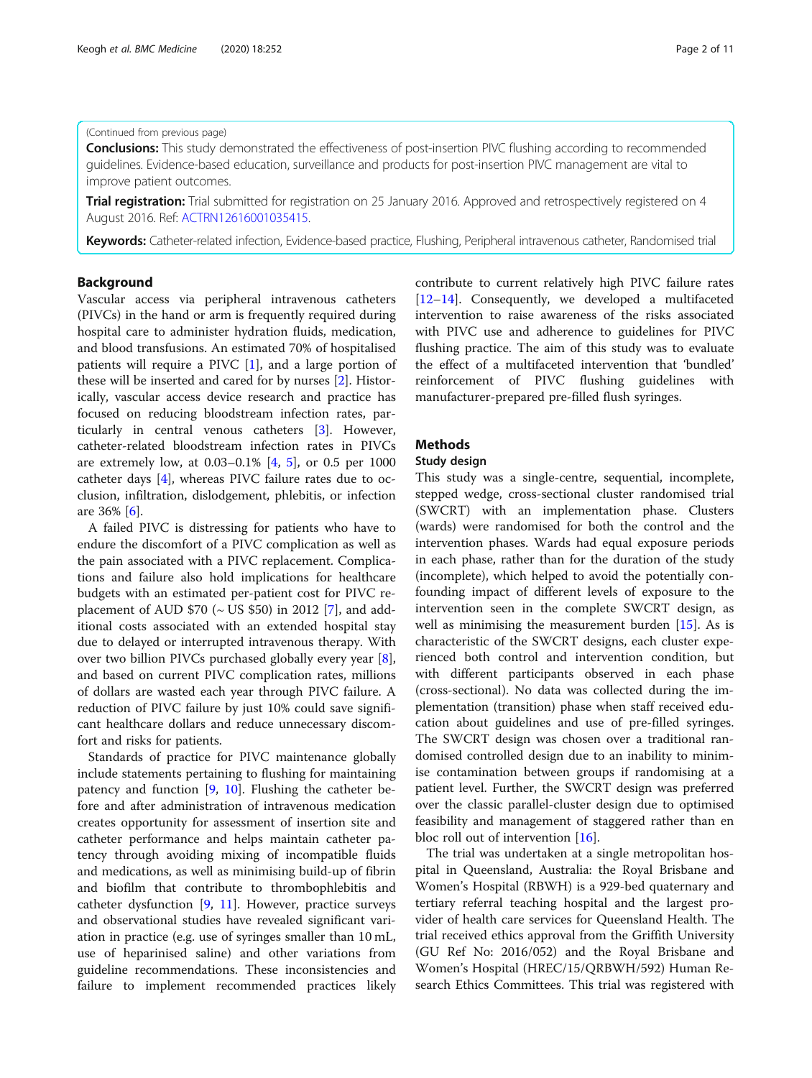# (Continued from previous page)

**Conclusions:** This study demonstrated the effectiveness of post-insertion PIVC flushing according to recommended guidelines. Evidence-based education, surveillance and products for post-insertion PIVC management are vital to improve patient outcomes.

Trial registration: Trial submitted for registration on 25 January 2016. Approved and retrospectively registered on 4 August 2016. Ref: [ACTRN12616001035415](https://www.anzctr.org.au/Trial/Registration/TrialReview.aspx?id=378803&isReview=true).

Keywords: Catheter-related infection, Evidence-based practice, Flushing, Peripheral intravenous catheter, Randomised trial

# Background

Vascular access via peripheral intravenous catheters (PIVCs) in the hand or arm is frequently required during hospital care to administer hydration fluids, medication, and blood transfusions. An estimated 70% of hospitalised patients will require a PIVC [[1\]](#page-10-0), and a large portion of these will be inserted and cared for by nurses [\[2\]](#page-10-0). Historically, vascular access device research and practice has focused on reducing bloodstream infection rates, particularly in central venous catheters [[3\]](#page-10-0). However, catheter-related bloodstream infection rates in PIVCs are extremely low, at 0.03–0.1% [[4,](#page-10-0) [5\]](#page-10-0), or 0.5 per 1000 catheter days [[4\]](#page-10-0), whereas PIVC failure rates due to occlusion, infiltration, dislodgement, phlebitis, or infection are 36% [[6\]](#page-10-0).

A failed PIVC is distressing for patients who have to endure the discomfort of a PIVC complication as well as the pain associated with a PIVC replacement. Complications and failure also hold implications for healthcare budgets with an estimated per-patient cost for PIVC replacement of AUD  $$70$  ( $\sim$  US \$50) in 2012 [\[7](#page-10-0)], and additional costs associated with an extended hospital stay due to delayed or interrupted intravenous therapy. With over two billion PIVCs purchased globally every year [\[8](#page-10-0)], and based on current PIVC complication rates, millions of dollars are wasted each year through PIVC failure. A reduction of PIVC failure by just 10% could save significant healthcare dollars and reduce unnecessary discomfort and risks for patients.

Standards of practice for PIVC maintenance globally include statements pertaining to flushing for maintaining patency and function [\[9](#page-10-0), [10\]](#page-10-0). Flushing the catheter before and after administration of intravenous medication creates opportunity for assessment of insertion site and catheter performance and helps maintain catheter patency through avoiding mixing of incompatible fluids and medications, as well as minimising build-up of fibrin and biofilm that contribute to thrombophlebitis and catheter dysfunction [\[9](#page-10-0), [11\]](#page-10-0). However, practice surveys and observational studies have revealed significant variation in practice (e.g. use of syringes smaller than 10 mL, use of heparinised saline) and other variations from guideline recommendations. These inconsistencies and failure to implement recommended practices likely

contribute to current relatively high PIVC failure rates [[12](#page-10-0)–[14](#page-10-0)]. Consequently, we developed a multifaceted intervention to raise awareness of the risks associated with PIVC use and adherence to guidelines for PIVC flushing practice. The aim of this study was to evaluate the effect of a multifaceted intervention that 'bundled' reinforcement of PIVC flushing guidelines with manufacturer-prepared pre-filled flush syringes.

# Methods

# Study design

This study was a single-centre, sequential, incomplete, stepped wedge, cross-sectional cluster randomised trial (SWCRT) with an implementation phase. Clusters (wards) were randomised for both the control and the intervention phases. Wards had equal exposure periods in each phase, rather than for the duration of the study (incomplete), which helped to avoid the potentially confounding impact of different levels of exposure to the intervention seen in the complete SWCRT design, as well as minimising the measurement burden [[15\]](#page-10-0). As is characteristic of the SWCRT designs, each cluster experienced both control and intervention condition, but with different participants observed in each phase (cross-sectional). No data was collected during the implementation (transition) phase when staff received education about guidelines and use of pre-filled syringes. The SWCRT design was chosen over a traditional randomised controlled design due to an inability to minimise contamination between groups if randomising at a patient level. Further, the SWCRT design was preferred over the classic parallel-cluster design due to optimised feasibility and management of staggered rather than en bloc roll out of intervention [\[16\]](#page-10-0).

The trial was undertaken at a single metropolitan hospital in Queensland, Australia: the Royal Brisbane and Women's Hospital (RBWH) is a 929-bed quaternary and tertiary referral teaching hospital and the largest provider of health care services for Queensland Health. The trial received ethics approval from the Griffith University (GU Ref No: 2016/052) and the Royal Brisbane and Women's Hospital (HREC/15/QRBWH/592) Human Research Ethics Committees. This trial was registered with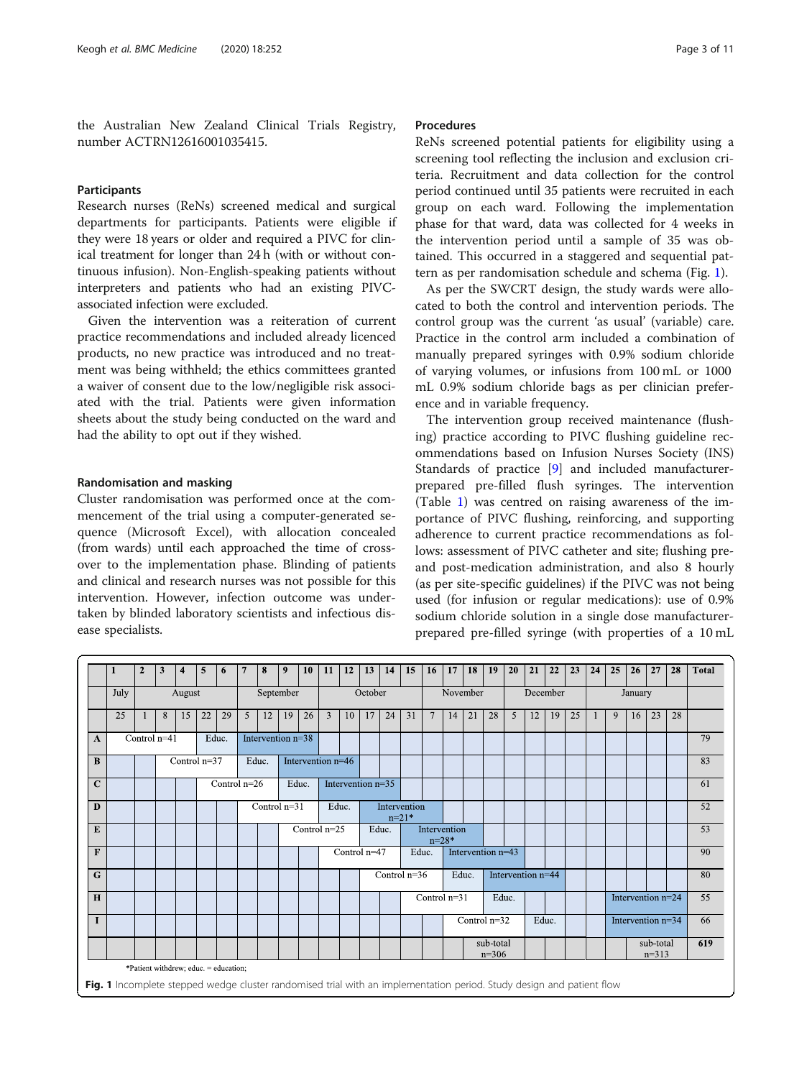<span id="page-2-0"></span>the Australian New Zealand Clinical Trials Registry, number ACTRN12616001035415.

# Participants

Research nurses (ReNs) screened medical and surgical departments for participants. Patients were eligible if they were 18 years or older and required a PIVC for clinical treatment for longer than 24 h (with or without continuous infusion). Non-English-speaking patients without interpreters and patients who had an existing PIVCassociated infection were excluded.

Given the intervention was a reiteration of current practice recommendations and included already licenced products, no new practice was introduced and no treatment was being withheld; the ethics committees granted a waiver of consent due to the low/negligible risk associated with the trial. Patients were given information sheets about the study being conducted on the ward and had the ability to opt out if they wished.

# Randomisation and masking

Cluster randomisation was performed once at the commencement of the trial using a computer-generated sequence (Microsoft Excel), with allocation concealed (from wards) until each approached the time of crossover to the implementation phase. Blinding of patients and clinical and research nurses was not possible for this intervention. However, infection outcome was undertaken by blinded laboratory scientists and infectious disease specialists.

# Procedures

ReNs screened potential patients for eligibility using a screening tool reflecting the inclusion and exclusion criteria. Recruitment and data collection for the control period continued until 35 patients were recruited in each group on each ward. Following the implementation phase for that ward, data was collected for 4 weeks in the intervention period until a sample of 35 was obtained. This occurred in a staggered and sequential pattern as per randomisation schedule and schema (Fig. 1).

As per the SWCRT design, the study wards were allocated to both the control and intervention periods. The control group was the current 'as usual' (variable) care. Practice in the control arm included a combination of manually prepared syringes with 0.9% sodium chloride of varying volumes, or infusions from 100 mL or 1000 mL 0.9% sodium chloride bags as per clinician preference and in variable frequency.

The intervention group received maintenance (flushing) practice according to PIVC flushing guideline recommendations based on Infusion Nurses Society (INS) Standards of practice [[9\]](#page-10-0) and included manufacturerprepared pre-filled flush syringes. The intervention (Table [1](#page-3-0)) was centred on raising awareness of the importance of PIVC flushing, reinforcing, and supporting adherence to current practice recommendations as follows: assessment of PIVC catheter and site; flushing preand post-medication administration, and also 8 hourly (as per site-specific guidelines) if the PIVC was not being used (for infusion or regular medications): use of 0.9% sodium chloride solution in a single dose manufacturerprepared pre-filled syringe (with properties of a 10 mL

|              |                                                                                                                                                                | $\mathbf{2}$ | 3 | 4            | 5         | 6     | 7              | 8  | 9                   | 10                | 11    | 12                | 13       | 14                      | 15    | 16                        | 17 | 18                | 19                   | 20 | 21                | 22 | 23 | 24 | 25 | 26                | 27                   | 28 | <b>Total</b> |
|--------------|----------------------------------------------------------------------------------------------------------------------------------------------------------------|--------------|---|--------------|-----------|-------|----------------|----|---------------------|-------------------|-------|-------------------|----------|-------------------------|-------|---------------------------|----|-------------------|----------------------|----|-------------------|----|----|----|----|-------------------|----------------------|----|--------------|
|              | July                                                                                                                                                           | August       |   |              | September |       |                |    | October<br>November |                   |       |                   | December |                         |       | January                   |    |                   |                      |    |                   |    |    |    |    |                   |                      |    |              |
|              | 25                                                                                                                                                             |              | 8 | 15           | 22        | 29    | 5              | 12 | 19                  | 26                | 3     | 10                | 17       | 24                      | 31    | 7                         | 14 | 21                | 28                   | 5  | 12                | 19 | 25 |    | 9  | 16                | 23                   | 28 |              |
| $\mathbf{A}$ |                                                                                                                                                                | Control n=41 |   |              |           | Educ. |                |    | Intervention n=38   |                   |       |                   |          |                         |       |                           |    |                   |                      |    |                   |    |    |    |    |                   |                      |    | 79           |
| $\bf{B}$     |                                                                                                                                                                |              |   | Control n=37 |           |       | Educ.          |    |                     | Intervention n=46 |       |                   |          |                         |       |                           |    |                   |                      |    |                   |    |    |    |    |                   |                      |    | 83           |
| $\mathbf C$  |                                                                                                                                                                |              |   |              |           |       | Control $n=26$ |    | Educ.               |                   |       | Intervention n=35 |          |                         |       |                           |    |                   |                      |    |                   |    |    |    |    |                   |                      |    | 61           |
| D            |                                                                                                                                                                |              |   |              |           |       |                |    | Control $n=31$      |                   | Educ. |                   |          | Intervention<br>$n=21*$ |       |                           |    |                   |                      |    |                   |    |    |    |    |                   |                      |    | 52           |
| E            |                                                                                                                                                                |              |   |              |           |       |                |    |                     | Control $n=25$    |       |                   | Educ.    |                         |       | Intervention<br>$n = 28*$ |    |                   |                      |    |                   |    |    |    |    |                   |                      |    | 53           |
| F            |                                                                                                                                                                |              |   |              |           |       |                |    |                     |                   |       | Control n=47      |          |                         | Educ. |                           |    | Intervention n=43 |                      |    |                   |    |    |    |    |                   |                      |    | 90           |
| G            |                                                                                                                                                                |              |   |              |           |       |                |    |                     |                   |       |                   |          | Control $n=36$          |       |                           |    | Educ.             |                      |    | Intervention n=44 |    |    |    |    |                   |                      |    | 80           |
| H            |                                                                                                                                                                |              |   |              |           |       |                |    |                     |                   |       |                   |          |                         |       | Control n=31              |    |                   | Educ.                |    |                   |    |    |    |    | Intervention n=24 |                      |    | 55           |
| I            |                                                                                                                                                                |              |   |              |           |       |                |    |                     |                   |       |                   |          |                         |       |                           |    | Control n=32      |                      |    | Educ.             |    |    |    |    | Intervention n=34 |                      |    | 66           |
|              |                                                                                                                                                                |              |   |              |           |       |                |    |                     |                   |       |                   |          |                         |       |                           |    |                   | sub total<br>$n=306$ |    |                   |    |    |    |    |                   | sub total<br>$n=313$ |    | 619          |
|              | *Patient withdrew; educ. = education;<br>Fig. 1 Incomplete stepped wedge cluster randomised trial with an implementation period. Study design and patient flow |              |   |              |           |       |                |    |                     |                   |       |                   |          |                         |       |                           |    |                   |                      |    |                   |    |    |    |    |                   |                      |    |              |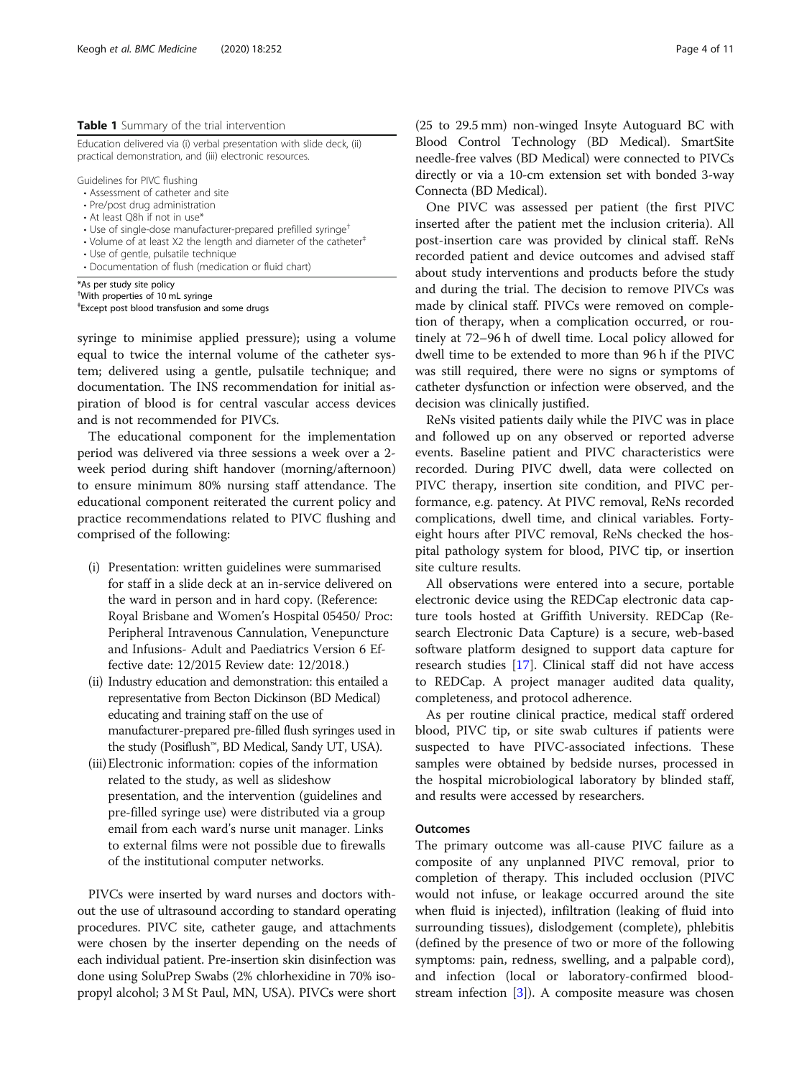# <span id="page-3-0"></span>Table 1 Summary of the trial intervention

Education delivered via (i) verbal presentation with slide deck, (ii) practical demonstration, and (iii) electronic resources.

Guidelines for PIVC flushing

- Assessment of catheter and site
- Pre/post drug administration
- At least O8h if not in use<sup>\*</sup>
- Use of single-dose manufacturer-prepared prefilled syringe†
- Volume of at least X2 the length and diameter of the catheter $<sup>‡</sup>$ </sup>
- Use of gentle, pulsatile technique
- Documentation of flush (medication or fluid chart)

\*As per study site policy

† With properties of 10 mL syringe ‡ Except post blood transfusion and some drugs

syringe to minimise applied pressure); using a volume equal to twice the internal volume of the catheter system; delivered using a gentle, pulsatile technique; and documentation. The INS recommendation for initial aspiration of blood is for central vascular access devices and is not recommended for PIVCs.

The educational component for the implementation period was delivered via three sessions a week over a 2 week period during shift handover (morning/afternoon) to ensure minimum 80% nursing staff attendance. The educational component reiterated the current policy and practice recommendations related to PIVC flushing and comprised of the following:

- (i) Presentation: written guidelines were summarised for staff in a slide deck at an in-service delivered on the ward in person and in hard copy. (Reference: Royal Brisbane and Women's Hospital 05450/ Proc: Peripheral Intravenous Cannulation, Venepuncture and Infusions- Adult and Paediatrics Version 6 Effective date: 12/2015 Review date: 12/2018.)
- (ii) Industry education and demonstration: this entailed a representative from Becton Dickinson (BD Medical) educating and training staff on the use of manufacturer-prepared pre-filled flush syringes used in the study (Posiflush™, BD Medical, Sandy UT, USA).
- (iii)Electronic information: copies of the information related to the study, as well as slideshow presentation, and the intervention (guidelines and pre-filled syringe use) were distributed via a group email from each ward's nurse unit manager. Links to external films were not possible due to firewalls of the institutional computer networks.

PIVCs were inserted by ward nurses and doctors without the use of ultrasound according to standard operating procedures. PIVC site, catheter gauge, and attachments were chosen by the inserter depending on the needs of each individual patient. Pre-insertion skin disinfection was done using SoluPrep Swabs (2% chlorhexidine in 70% isopropyl alcohol; 3 M St Paul, MN, USA). PIVCs were short

(25 to 29.5 mm) non-winged Insyte Autoguard BC with Blood Control Technology (BD Medical). SmartSite needle-free valves (BD Medical) were connected to PIVCs directly or via a 10-cm extension set with bonded 3-way Connecta (BD Medical).

One PIVC was assessed per patient (the first PIVC inserted after the patient met the inclusion criteria). All post-insertion care was provided by clinical staff. ReNs recorded patient and device outcomes and advised staff about study interventions and products before the study and during the trial. The decision to remove PIVCs was made by clinical staff. PIVCs were removed on completion of therapy, when a complication occurred, or routinely at 72–96 h of dwell time. Local policy allowed for dwell time to be extended to more than 96 h if the PIVC was still required, there were no signs or symptoms of catheter dysfunction or infection were observed, and the decision was clinically justified.

ReNs visited patients daily while the PIVC was in place and followed up on any observed or reported adverse events. Baseline patient and PIVC characteristics were recorded. During PIVC dwell, data were collected on PIVC therapy, insertion site condition, and PIVC performance, e.g. patency. At PIVC removal, ReNs recorded complications, dwell time, and clinical variables. Fortyeight hours after PIVC removal, ReNs checked the hospital pathology system for blood, PIVC tip, or insertion site culture results.

All observations were entered into a secure, portable electronic device using the REDCap electronic data capture tools hosted at Griffith University. REDCap (Research Electronic Data Capture) is a secure, web-based software platform designed to support data capture for research studies [[17\]](#page-10-0). Clinical staff did not have access to REDCap. A project manager audited data quality, completeness, and protocol adherence.

As per routine clinical practice, medical staff ordered blood, PIVC tip, or site swab cultures if patients were suspected to have PIVC-associated infections. These samples were obtained by bedside nurses, processed in the hospital microbiological laboratory by blinded staff, and results were accessed by researchers.

# **Outcomes**

The primary outcome was all-cause PIVC failure as a composite of any unplanned PIVC removal, prior to completion of therapy. This included occlusion (PIVC would not infuse, or leakage occurred around the site when fluid is injected), infiltration (leaking of fluid into surrounding tissues), dislodgement (complete), phlebitis (defined by the presence of two or more of the following symptoms: pain, redness, swelling, and a palpable cord), and infection (local or laboratory-confirmed bloodstream infection  $[3]$  $[3]$ ). A composite measure was chosen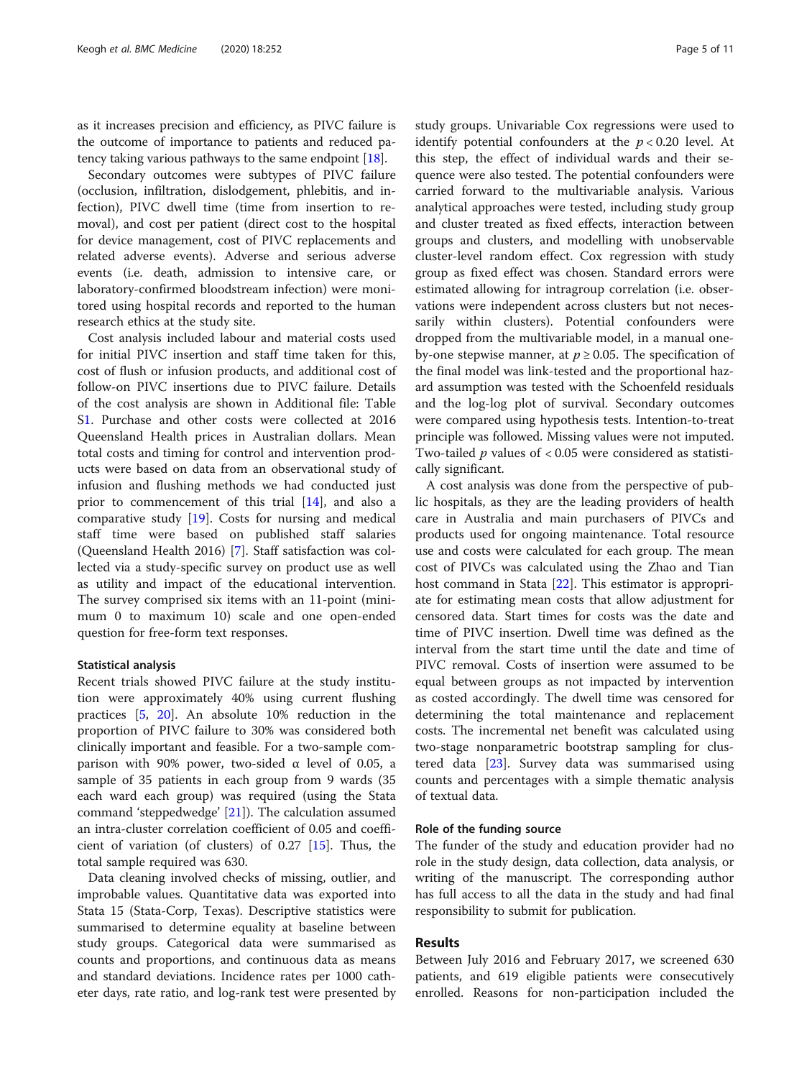as it increases precision and efficiency, as PIVC failure is the outcome of importance to patients and reduced patency taking various pathways to the same endpoint [\[18\]](#page-10-0).

Secondary outcomes were subtypes of PIVC failure (occlusion, infiltration, dislodgement, phlebitis, and infection), PIVC dwell time (time from insertion to removal), and cost per patient (direct cost to the hospital for device management, cost of PIVC replacements and related adverse events). Adverse and serious adverse events (i.e. death, admission to intensive care, or laboratory-confirmed bloodstream infection) were monitored using hospital records and reported to the human research ethics at the study site.

Cost analysis included labour and material costs used for initial PIVC insertion and staff time taken for this, cost of flush or infusion products, and additional cost of follow-on PIVC insertions due to PIVC failure. Details of the cost analysis are shown in Additional file: Table S[1.](#page-9-0) Purchase and other costs were collected at 2016 Queensland Health prices in Australian dollars. Mean total costs and timing for control and intervention products were based on data from an observational study of infusion and flushing methods we had conducted just prior to commencement of this trial  $[14]$  $[14]$  $[14]$ , and also a comparative study [[19\]](#page-10-0). Costs for nursing and medical staff time were based on published staff salaries (Queensland Health 2016) [\[7\]](#page-10-0). Staff satisfaction was collected via a study-specific survey on product use as well as utility and impact of the educational intervention. The survey comprised six items with an 11-point (minimum 0 to maximum 10) scale and one open-ended question for free-form text responses.

# Statistical analysis

Recent trials showed PIVC failure at the study institution were approximately 40% using current flushing practices [\[5,](#page-10-0) [20](#page-10-0)]. An absolute 10% reduction in the proportion of PIVC failure to 30% was considered both clinically important and feasible. For a two-sample comparison with 90% power, two-sided α level of 0.05, a sample of 35 patients in each group from 9 wards (35 each ward each group) was required (using the Stata command 'steppedwedge' [[21](#page-10-0)]). The calculation assumed an intra-cluster correlation coefficient of 0.05 and coefficient of variation (of clusters) of 0.27 [\[15](#page-10-0)]. Thus, the total sample required was 630.

Data cleaning involved checks of missing, outlier, and improbable values. Quantitative data was exported into Stata 15 (Stata-Corp, Texas). Descriptive statistics were summarised to determine equality at baseline between study groups. Categorical data were summarised as counts and proportions, and continuous data as means and standard deviations. Incidence rates per 1000 catheter days, rate ratio, and log-rank test were presented by study groups. Univariable Cox regressions were used to identify potential confounders at the  $p < 0.20$  level. At this step, the effect of individual wards and their sequence were also tested. The potential confounders were carried forward to the multivariable analysis. Various analytical approaches were tested, including study group and cluster treated as fixed effects, interaction between groups and clusters, and modelling with unobservable cluster-level random effect. Cox regression with study group as fixed effect was chosen. Standard errors were estimated allowing for intragroup correlation (i.e. observations were independent across clusters but not necessarily within clusters). Potential confounders were dropped from the multivariable model, in a manual oneby-one stepwise manner, at  $p \ge 0.05$ . The specification of the final model was link-tested and the proportional hazard assumption was tested with the Schoenfeld residuals and the log-log plot of survival. Secondary outcomes were compared using hypothesis tests. Intention-to-treat principle was followed. Missing values were not imputed. Two-tailed  $p$  values of  $< 0.05$  were considered as statistically significant.

A cost analysis was done from the perspective of public hospitals, as they are the leading providers of health care in Australia and main purchasers of PIVCs and products used for ongoing maintenance. Total resource use and costs were calculated for each group. The mean cost of PIVCs was calculated using the Zhao and Tian host command in Stata [\[22\]](#page-10-0). This estimator is appropriate for estimating mean costs that allow adjustment for censored data. Start times for costs was the date and time of PIVC insertion. Dwell time was defined as the interval from the start time until the date and time of PIVC removal. Costs of insertion were assumed to be equal between groups as not impacted by intervention as costed accordingly. The dwell time was censored for determining the total maintenance and replacement costs. The incremental net benefit was calculated using two-stage nonparametric bootstrap sampling for clustered data [\[23](#page-10-0)]. Survey data was summarised using counts and percentages with a simple thematic analysis of textual data.

# Role of the funding source

The funder of the study and education provider had no role in the study design, data collection, data analysis, or writing of the manuscript. The corresponding author has full access to all the data in the study and had final responsibility to submit for publication.

# Results

Between July 2016 and February 2017, we screened 630 patients, and 619 eligible patients were consecutively enrolled. Reasons for non-participation included the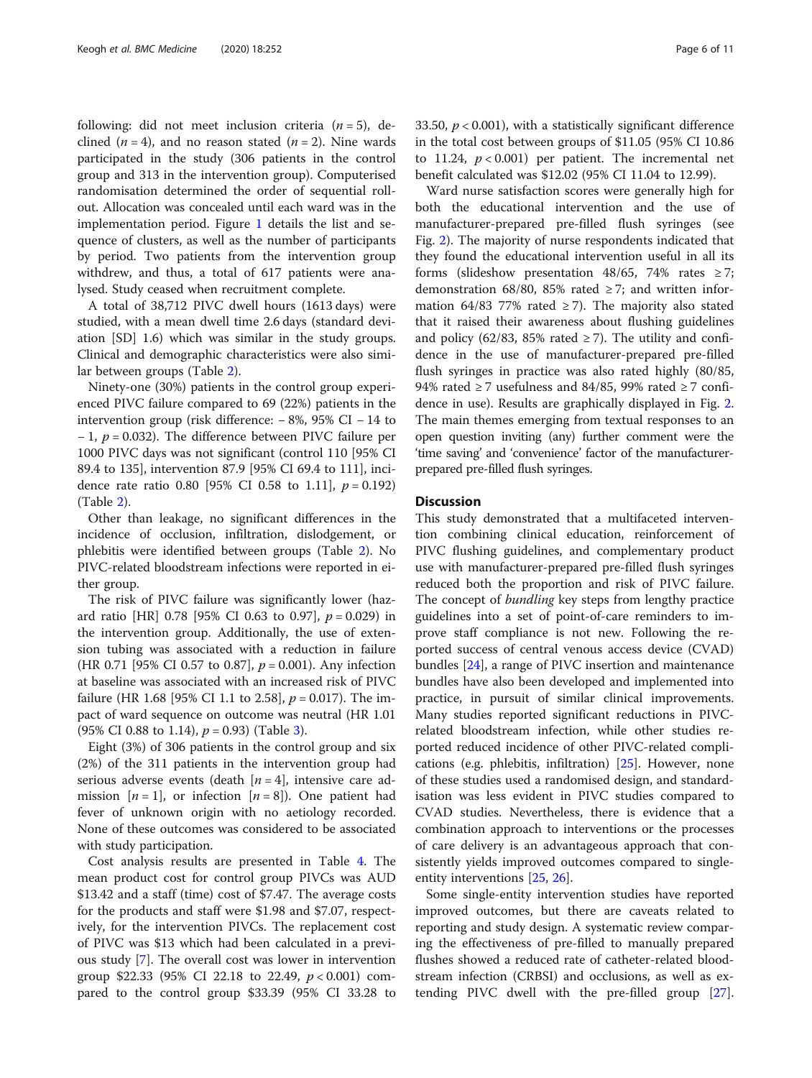following: did not meet inclusion criteria  $(n = 5)$ , declined  $(n = 4)$ , and no reason stated  $(n = 2)$ . Nine wards participated in the study (306 patients in the control group and 313 in the intervention group). Computerised randomisation determined the order of sequential rollout. Allocation was concealed until each ward was in the implementation period. Figure [1](#page-2-0) details the list and sequence of clusters, as well as the number of participants by period. Two patients from the intervention group withdrew, and thus, a total of 617 patients were analysed. Study ceased when recruitment complete.

A total of 38,712 PIVC dwell hours (1613 days) were studied, with a mean dwell time 2.6 days (standard deviation [SD] 1.6) which was similar in the study groups. Clinical and demographic characteristics were also similar between groups (Table [2\)](#page-6-0).

Ninety-one (30%) patients in the control group experienced PIVC failure compared to 69 (22%) patients in the intervention group (risk difference: − 8%, 95% CI − 14 to  $-1$ ,  $p = 0.032$ ). The difference between PIVC failure per 1000 PIVC days was not significant (control 110 [95% CI 89.4 to 135], intervention 87.9 [95% CI 69.4 to 111], incidence rate ratio 0.80 [95% CI 0.58 to 1.11],  $p = 0.192$ ] (Table [2\)](#page-6-0).

Other than leakage, no significant differences in the incidence of occlusion, infiltration, dislodgement, or phlebitis were identified between groups (Table [2](#page-6-0)). No PIVC-related bloodstream infections were reported in either group.

The risk of PIVC failure was significantly lower (hazard ratio [HR] 0.78 [95% CI 0.63 to 0.97],  $p = 0.029$  in the intervention group. Additionally, the use of extension tubing was associated with a reduction in failure (HR 0.71 [95% CI 0.57 to 0.87],  $p = 0.001$ ). Any infection at baseline was associated with an increased risk of PIVC failure (HR 1.68 [95% CI 1.1 to 2.58],  $p = 0.017$ ). The impact of ward sequence on outcome was neutral (HR 1.01 (95% CI 0.88 to 1.14),  $p = 0.93$  $p = 0.93$ ) (Table 3).

Eight (3%) of 306 patients in the control group and six (2%) of the 311 patients in the intervention group had serious adverse events (death  $[n = 4]$ , intensive care admission  $[n = 1]$ , or infection  $[n = 8]$ ). One patient had fever of unknown origin with no aetiology recorded. None of these outcomes was considered to be associated with study participation.

Cost analysis results are presented in Table [4.](#page-8-0) The mean product cost for control group PIVCs was AUD \$13.42 and a staff (time) cost of \$7.47. The average costs for the products and staff were \$1.98 and \$7.07, respectively, for the intervention PIVCs. The replacement cost of PIVC was \$13 which had been calculated in a previous study [\[7](#page-10-0)]. The overall cost was lower in intervention group \$22.33 (95% CI 22.18 to 22.49,  $p < 0.001$ ) compared to the control group \$33.39 (95% CI 33.28 to 33.50,  $p < 0.001$ ), with a statistically significant difference in the total cost between groups of \$11.05 (95% CI 10.86 to 11.24,  $p < 0.001$ ) per patient. The incremental net benefit calculated was \$12.02 (95% CI 11.04 to 12.99).

Ward nurse satisfaction scores were generally high for both the educational intervention and the use of manufacturer-prepared pre-filled flush syringes (see Fig. [2](#page-8-0)). The majority of nurse respondents indicated that they found the educational intervention useful in all its forms (slideshow presentation 48/65, 74% rates  $\geq$ 7; demonstration 68/80, 85% rated  $\geq$  7; and written information 64/83 77% rated  $\geq$  7). The majority also stated that it raised their awareness about flushing guidelines and policy (62/83, 85% rated  $\geq$  7). The utility and confidence in the use of manufacturer-prepared pre-filled flush syringes in practice was also rated highly (80/85, 94% rated ≥ 7 usefulness and 84/85, 99% rated ≥ 7 confidence in use). Results are graphically displayed in Fig. [2](#page-8-0). The main themes emerging from textual responses to an open question inviting (any) further comment were the 'time saving' and 'convenience' factor of the manufacturerprepared pre-filled flush syringes.

# **Discussion**

This study demonstrated that a multifaceted intervention combining clinical education, reinforcement of PIVC flushing guidelines, and complementary product use with manufacturer-prepared pre-filled flush syringes reduced both the proportion and risk of PIVC failure. The concept of *bundling* key steps from lengthy practice guidelines into a set of point-of-care reminders to improve staff compliance is not new. Following the reported success of central venous access device (CVAD) bundles [[24](#page-10-0)], a range of PIVC insertion and maintenance bundles have also been developed and implemented into practice, in pursuit of similar clinical improvements. Many studies reported significant reductions in PIVCrelated bloodstream infection, while other studies reported reduced incidence of other PIVC-related complications (e.g. phlebitis, infiltration) [\[25\]](#page-10-0). However, none of these studies used a randomised design, and standardisation was less evident in PIVC studies compared to CVAD studies. Nevertheless, there is evidence that a combination approach to interventions or the processes of care delivery is an advantageous approach that consistently yields improved outcomes compared to singleentity interventions [\[25](#page-10-0), [26](#page-10-0)].

Some single-entity intervention studies have reported improved outcomes, but there are caveats related to reporting and study design. A systematic review comparing the effectiveness of pre-filled to manually prepared flushes showed a reduced rate of catheter-related bloodstream infection (CRBSI) and occlusions, as well as extending PIVC dwell with the pre-filled group [\[27](#page-10-0)].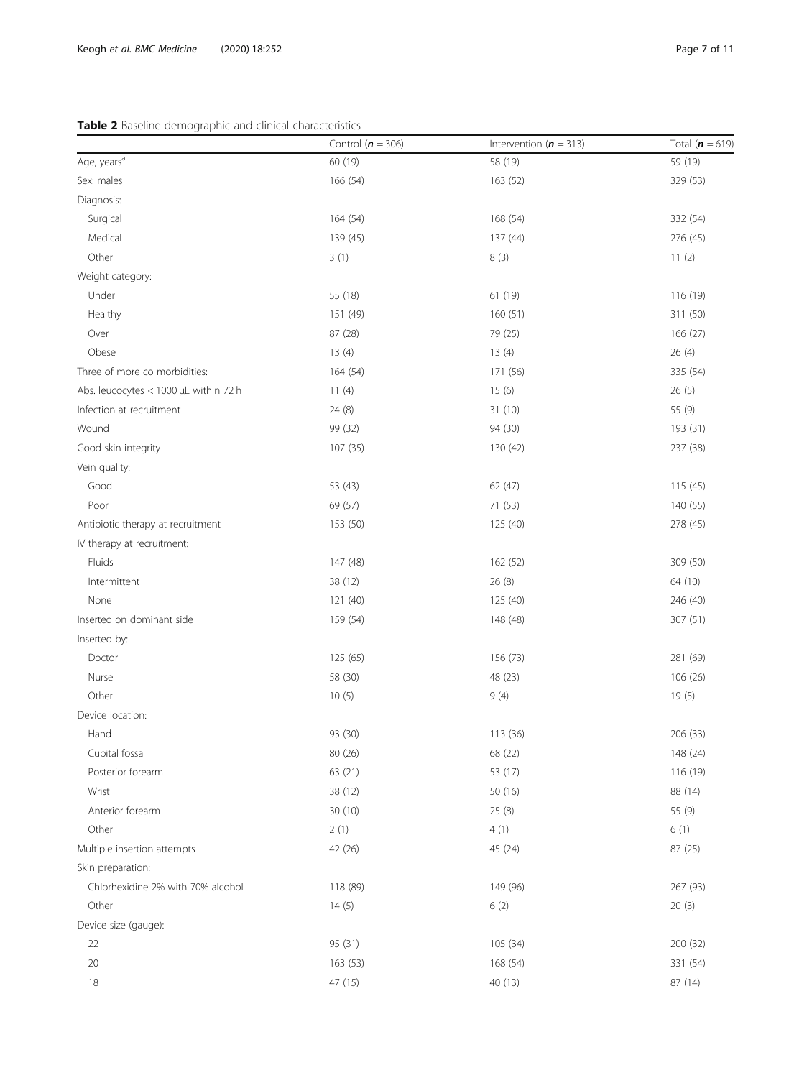Inserted by:

Device location:

Skin preparation:

Device size (gauge):

# Table 2 Baseline

<span id="page-6-0"></span>

|                                       | Table 2 Baseline demographic and clinical characteristics |                            |                   |  |  |  |  |  |  |
|---------------------------------------|-----------------------------------------------------------|----------------------------|-------------------|--|--|--|--|--|--|
|                                       | Control $(n = 306)$                                       | Intervention ( $n = 313$ ) | Total $(n = 619)$ |  |  |  |  |  |  |
| Age, years <sup>a</sup>               | 60 (19)                                                   | 58 (19)                    | 59 (19)           |  |  |  |  |  |  |
| Sex: males                            | 166 (54)                                                  | 163 (52)                   | 329 (53)          |  |  |  |  |  |  |
| Diagnosis:                            |                                                           |                            |                   |  |  |  |  |  |  |
| Surgical                              | 164 (54)                                                  | 168 (54)                   | 332 (54)          |  |  |  |  |  |  |
| Medical                               | 139 (45)                                                  | 137 (44)                   | 276 (45)          |  |  |  |  |  |  |
| Other                                 | 3(1)                                                      | 8(3)                       | 11(2)             |  |  |  |  |  |  |
| Weight category:                      |                                                           |                            |                   |  |  |  |  |  |  |
| Under                                 | 55 (18)                                                   | 61 (19)                    | 116 (19)          |  |  |  |  |  |  |
| Healthy                               | 151 (49)                                                  | 160(51)                    | 311 (50)          |  |  |  |  |  |  |
| Over                                  | 87 (28)                                                   | 79 (25)                    | 166 (27)          |  |  |  |  |  |  |
| Obese                                 | 13(4)                                                     | 13(4)                      | 26(4)             |  |  |  |  |  |  |
| Three of more co morbidities:         | 164 (54)                                                  | 171 (56)                   | 335 (54)          |  |  |  |  |  |  |
| Abs. leucocytes < 1000 µL within 72 h | 11(4)                                                     | 15(6)                      | 26(5)             |  |  |  |  |  |  |
| Infection at recruitment              | 24(8)                                                     | 31 (10)                    | 55 (9)            |  |  |  |  |  |  |
| Wound                                 | 99 (32)                                                   | 94 (30)                    | 193 (31)          |  |  |  |  |  |  |
| Good skin integrity                   | 107 (35)                                                  | 130 (42)                   | 237 (38)          |  |  |  |  |  |  |
| Vein quality:                         |                                                           |                            |                   |  |  |  |  |  |  |
| Good                                  | 53 (43)                                                   | 62(47)                     | 115(45)           |  |  |  |  |  |  |
| Poor                                  | 69 (57)                                                   | 71 (53)                    | 140 (55)          |  |  |  |  |  |  |
| Antibiotic therapy at recruitment     | 153 (50)                                                  | 125 (40)                   | 278 (45)          |  |  |  |  |  |  |
| IV therapy at recruitment:            |                                                           |                            |                   |  |  |  |  |  |  |
| Fluids                                | 147 (48)                                                  | 162 (52)                   | 309 (50)          |  |  |  |  |  |  |
| Intermittent                          | 38 (12)                                                   | 26(8)                      | 64 (10)           |  |  |  |  |  |  |
| None                                  | 121 (40)                                                  | 125 (40)                   | 246 (40)          |  |  |  |  |  |  |
| Inserted on dominant side             | 159 (54)                                                  | 148 (48)                   | 307 (51)          |  |  |  |  |  |  |
| $\sim$ $\sim$ $\sim$ $\sim$ $\sim$    |                                                           |                            |                   |  |  |  |  |  |  |

Doctor 125 (65) 156 (73) 281 (69) Nurse 106 (26) 106 (26) 106 (26) 106 (26) 106 (28) 106 (28) 106 (28) Other 10 (5) 10 (5) 9 (4) 9 (4) 19 (5)

Hand 93 (30) 113 (36) 206 (33) Cubital fossa 80 (26) 68 (22) 148 (24) Posterior forearm 63 (21) 53 (17) 53 (17) 53 (17) 53 (17) 53 (19) Wrist 28 (14) 38 (12) 50 (16) 38 (12) 50 (16) 50 (16) Anterior forearm 30 (10) 30 (10) 25 (8) 35 (9) Other 6(1) 2(1) 4(1) 6(1) Multiple insertion attempts **42 (26)** 45 (24) 45 (24) 45 (24) 45 (25) 445 (25) 45 (25) 45 (25) 45 (25) 45 (25) 45 (25)

Chlorhexidine 2% with 70% alcohol 118 (89) 149 (96) 149 (96) 267 (93) Other 20 14 (5) 3 (3) 20 (3) 20 (3) 3 (3) 20 (3) 20 (3) 20 (3) 20 (3) 20 (3) 20 (3) 20 (3) 20 (3) 20 (3) 20 (3)

22 32 35 (31) 35 (31) 36 36 37 38 39 30 31 320 432 320 432 320 432 320 432 320 432 320 432 320 432 320 432 320 432 320 432 320 432 320 432 320 432 320 432 320 432 320 432 320 432 320 432 320 432 320 432 320 432 320 432 320 20 163 (53) 163 (53) 168 (54) 168 (54) 168 (54) 168 (54) 168 (54) 168 (54) 168 (54) 168 (54) 168 (54) 168 (54) 18 47 (15) 40 (13) 87 (14)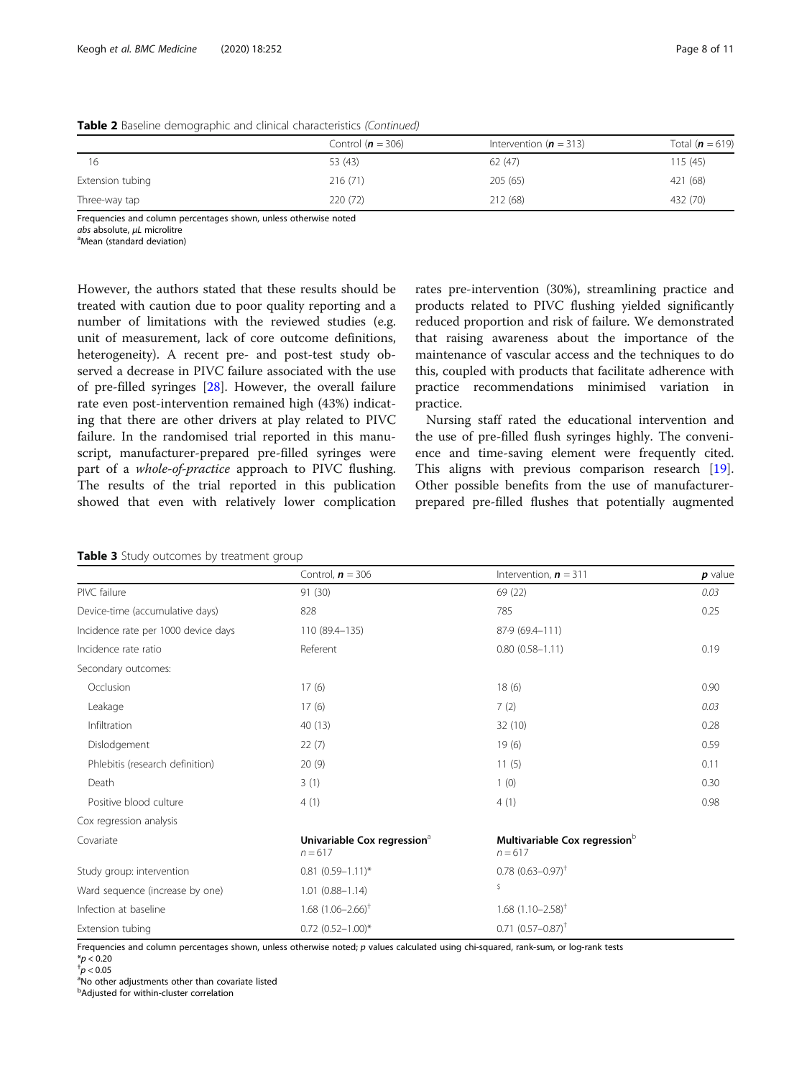|                  | Control ( $n = 306$ ) | Intervention ( $n = 313$ ) | Total $(n = 619)$ |
|------------------|-----------------------|----------------------------|-------------------|
| 16               | 53 (43)               | 62(47)                     | 115(45)           |
| Extension tubing | 216(71)               | 205(65)                    | 421 (68)          |
| Three-way tap    | 220(72)               | 212 (68)                   | 432 (70)          |

<span id="page-7-0"></span>Table 2 Baseline demographic and clinical characteristics (Continued)

Frequencies and column percentages shown, unless otherwise noted

abs absolute,  $\mu$ L microlitre

<sup>a</sup> Mean (standard deviation)

However, the authors stated that these results should be treated with caution due to poor quality reporting and a number of limitations with the reviewed studies (e.g. unit of measurement, lack of core outcome definitions, heterogeneity). A recent pre- and post-test study observed a decrease in PIVC failure associated with the use of pre-filled syringes [[28\]](#page-10-0). However, the overall failure rate even post-intervention remained high (43%) indicating that there are other drivers at play related to PIVC failure. In the randomised trial reported in this manuscript, manufacturer-prepared pre-filled syringes were part of a whole-of-practice approach to PIVC flushing. The results of the trial reported in this publication showed that even with relatively lower complication rates pre-intervention (30%), streamlining practice and products related to PIVC flushing yielded significantly reduced proportion and risk of failure. We demonstrated that raising awareness about the importance of the maintenance of vascular access and the techniques to do this, coupled with products that facilitate adherence with practice recommendations minimised variation in practice.

Nursing staff rated the educational intervention and the use of pre-filled flush syringes highly. The convenience and time-saving element were frequently cited. This aligns with previous comparison research [\[19](#page-10-0)]. Other possible benefits from the use of manufacturerprepared pre-filled flushes that potentially augmented

|  |  |  |  |  | Table 3 Study outcomes by treatment group |  |
|--|--|--|--|--|-------------------------------------------|--|
|--|--|--|--|--|-------------------------------------------|--|

|                                     | Control, $n = 306$                                   | Intervention, $n = 311$                                | $p$ value |
|-------------------------------------|------------------------------------------------------|--------------------------------------------------------|-----------|
| PIVC failure                        | 91 (30)                                              | 69 (22)                                                | 0.03      |
| Device-time (accumulative days)     | 828                                                  | 785                                                    | 0.25      |
| Incidence rate per 1000 device days | 110 (89.4-135)                                       | 87-9 (69.4-111)                                        |           |
| Incidence rate ratio                | Referent                                             | $0.80(0.58 - 1.11)$                                    | 0.19      |
| Secondary outcomes:                 |                                                      |                                                        |           |
| Occlusion                           | 17(6)                                                | 18(6)                                                  | 0.90      |
| Leakage                             | 17(6)                                                | 7(2)                                                   | 0.03      |
| Infiltration                        | 40 (13)                                              | 32(10)                                                 | 0.28      |
| Dislodgement                        | 22(7)                                                | 19(6)                                                  | 0.59      |
| Phlebitis (research definition)     | 20(9)                                                | 11(5)                                                  | 0.11      |
| Death                               | 3(1)                                                 | 1(0)                                                   | 0.30      |
| Positive blood culture              | 4(1)                                                 | 4(1)                                                   | 0.98      |
| Cox regression analysis             |                                                      |                                                        |           |
| Covariate                           | Univariable Cox regression <sup>a</sup><br>$n = 617$ | Multivariable Cox regression <sup>b</sup><br>$n = 617$ |           |
| Study group: intervention           | $0.81(0.59 - 1.11)^*$                                | $0.78$ $(0.63 - 0.97)^{+}$                             |           |
| Ward sequence (increase by one)     | $1.01(0.88 - 1.14)$                                  | \$                                                     |           |
| Infection at baseline               | $1.68$ $(1.06 - 2.66)^{\dagger}$                     | 1.68 $(1.10 - 2.58)^{\dagger}$                         |           |
| Extension tubing                    | $0.72$ $(0.52 - 1.00)$ *                             | $0.71$ $(0.57-0.87)^{+}$                               |           |

Frequencies and column percentages shown, unless otherwise noted; p values calculated using chi-squared, rank-sum, or log-rank tests

 $*p < 0.20$  $^{\dagger}p$  < 0.05

<sup>a</sup>No other adjustments other than covariate listed

**bAdjusted for within-cluster correlation**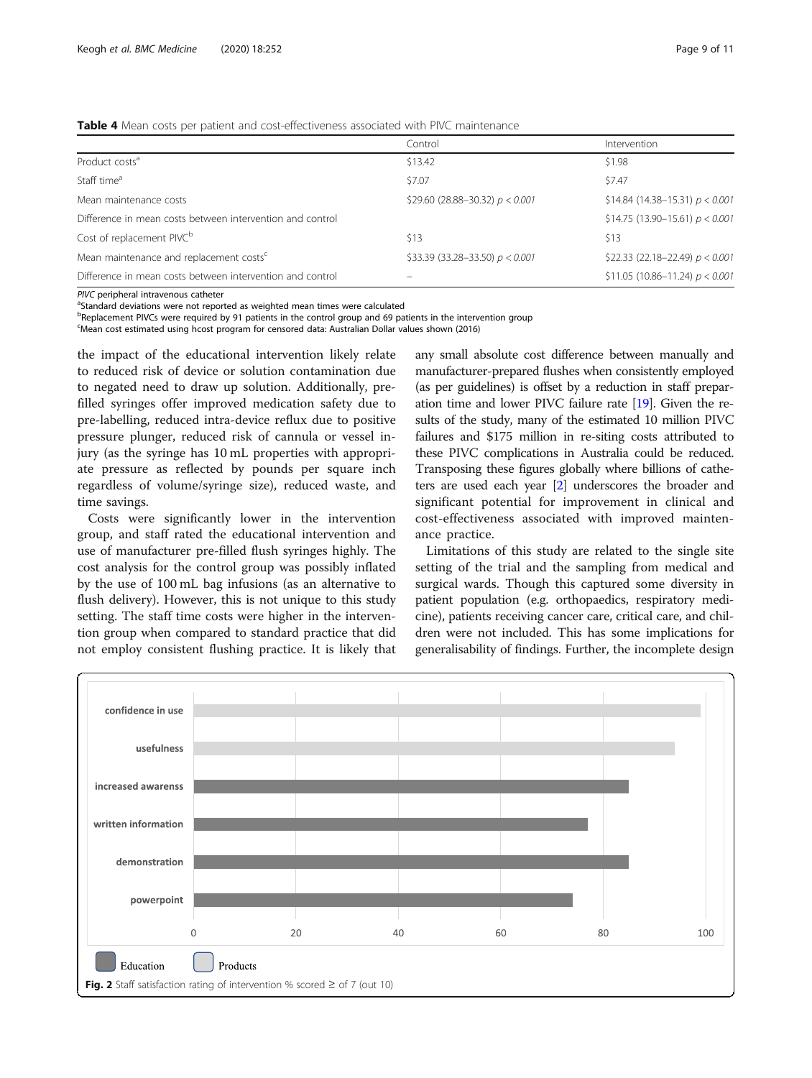<span id="page-8-0"></span>

|                                                           | Control                            | Intervention                       |
|-----------------------------------------------------------|------------------------------------|------------------------------------|
| Product costs <sup>a</sup>                                | \$13.42                            | \$1.98                             |
| Staff time <sup>a</sup>                                   | \$7.07                             | \$7.47                             |
| Mean maintenance costs                                    | \$29.60 (28.88-30.32) $p < 0.001$  | $$14.84$ (14.38-15.31) $p < 0.001$ |
| Difference in mean costs between intervention and control |                                    | $$14.75$ (13.90-15.61) $p < 0.001$ |
| Cost of replacement PIVC <sup>b</sup>                     | \$13                               | \$13                               |
| Mean maintenance and replacement costs <sup>c</sup>       | $$33.39$ (33.28-33.50) $p < 0.001$ | $$22.33$ (22.18-22.49) $p < 0.001$ |
| Difference in mean costs between intervention and control |                                    | $$11.05$ (10.86-11.24) $p < 0.001$ |

PIVC peripheral intravenous catheter

<sup>a</sup>Standard deviations were not reported as weighted mean times were calculated

<sup>b</sup>Replacement PIVCs were required by 91 patients in the control group and 69 patients in the intervention group

c Mean cost estimated using hcost program for censored data: Australian Dollar values shown (2016)

the impact of the educational intervention likely relate to reduced risk of device or solution contamination due to negated need to draw up solution. Additionally, prefilled syringes offer improved medication safety due to pre-labelling, reduced intra-device reflux due to positive pressure plunger, reduced risk of cannula or vessel injury (as the syringe has 10 mL properties with appropriate pressure as reflected by pounds per square inch regardless of volume/syringe size), reduced waste, and time savings.

Costs were significantly lower in the intervention group, and staff rated the educational intervention and use of manufacturer pre-filled flush syringes highly. The cost analysis for the control group was possibly inflated by the use of 100 mL bag infusions (as an alternative to flush delivery). However, this is not unique to this study setting. The staff time costs were higher in the intervention group when compared to standard practice that did not employ consistent flushing practice. It is likely that any small absolute cost difference between manually and manufacturer-prepared flushes when consistently employed (as per guidelines) is offset by a reduction in staff preparation time and lower PIVC failure rate [[19](#page-10-0)]. Given the results of the study, many of the estimated 10 million PIVC failures and \$175 million in re-siting costs attributed to these PIVC complications in Australia could be reduced. Transposing these figures globally where billions of catheters are used each year [\[2](#page-10-0)] underscores the broader and significant potential for improvement in clinical and cost-effectiveness associated with improved maintenance practice.

Limitations of this study are related to the single site setting of the trial and the sampling from medical and surgical wards. Though this captured some diversity in patient population (e.g. orthopaedics, respiratory medicine), patients receiving cancer care, critical care, and children were not included. This has some implications for generalisability of findings. Further, the incomplete design

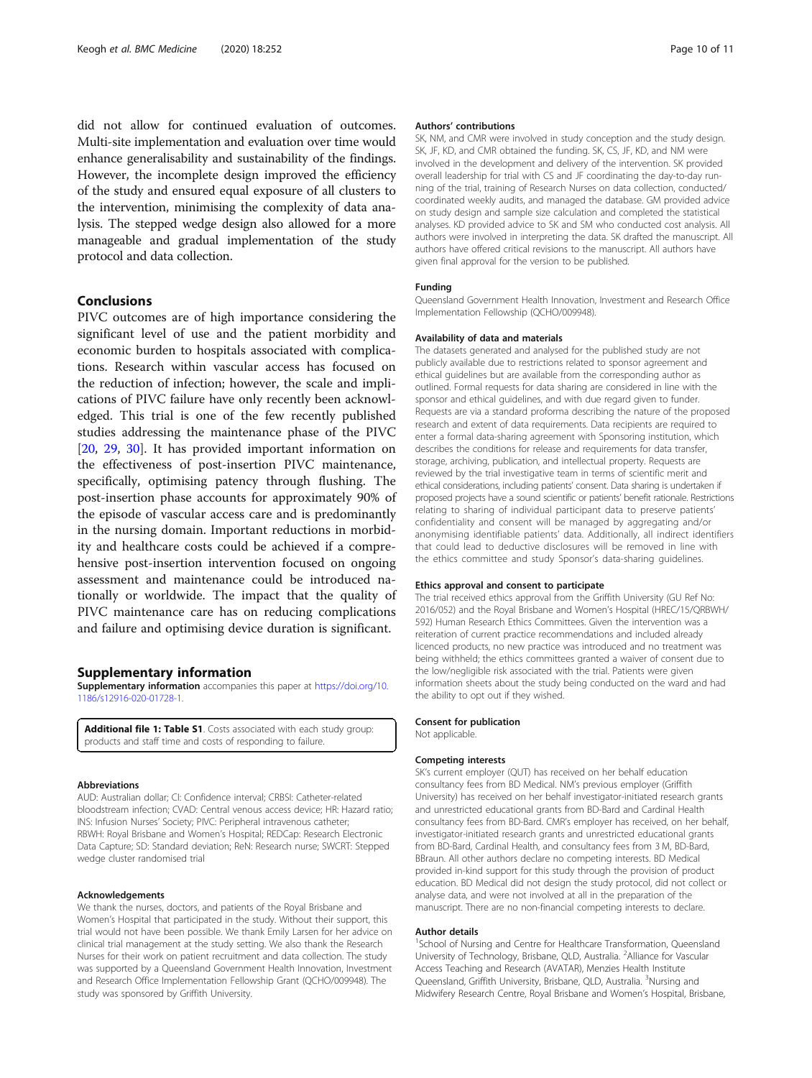<span id="page-9-0"></span>did not allow for continued evaluation of outcomes. Multi-site implementation and evaluation over time would enhance generalisability and sustainability of the findings. However, the incomplete design improved the efficiency of the study and ensured equal exposure of all clusters to the intervention, minimising the complexity of data analysis. The stepped wedge design also allowed for a more manageable and gradual implementation of the study protocol and data collection.

# Conclusions

PIVC outcomes are of high importance considering the significant level of use and the patient morbidity and economic burden to hospitals associated with complications. Research within vascular access has focused on the reduction of infection; however, the scale and implications of PIVC failure have only recently been acknowledged. This trial is one of the few recently published studies addressing the maintenance phase of the PIVC [[20,](#page-10-0) [29](#page-10-0), [30\]](#page-10-0). It has provided important information on the effectiveness of post-insertion PIVC maintenance, specifically, optimising patency through flushing. The post-insertion phase accounts for approximately 90% of the episode of vascular access care and is predominantly in the nursing domain. Important reductions in morbidity and healthcare costs could be achieved if a comprehensive post-insertion intervention focused on ongoing assessment and maintenance could be introduced nationally or worldwide. The impact that the quality of PIVC maintenance care has on reducing complications and failure and optimising device duration is significant.

# Supplementary information

Supplementary information accompanies this paper at [https://doi.org/10.](https://doi.org/10.1186/s12916-020-01728-1) [1186/s12916-020-01728-1](https://doi.org/10.1186/s12916-020-01728-1).

Additional file 1: Table S1. Costs associated with each study group: products and staff time and costs of responding to failure.

# Abbreviations

AUD: Australian dollar; CI: Confidence interval; CRBSI: Catheter-related bloodstream infection; CVAD: Central venous access device; HR: Hazard ratio; INS: Infusion Nurses' Society; PIVC: Peripheral intravenous catheter; RBWH: Royal Brisbane and Women's Hospital; REDCap: Research Electronic Data Capture; SD: Standard deviation; ReN: Research nurse; SWCRT: Stepped wedge cluster randomised trial

# Acknowledgements

We thank the nurses, doctors, and patients of the Royal Brisbane and Women's Hospital that participated in the study. Without their support, this trial would not have been possible. We thank Emily Larsen for her advice on clinical trial management at the study setting. We also thank the Research Nurses for their work on patient recruitment and data collection. The study was supported by a Queensland Government Health Innovation, Investment and Research Office Implementation Fellowship Grant (QCHO/009948). The study was sponsored by Griffith University.

# Authors' contributions

SK, NM, and CMR were involved in study conception and the study design. SK, JF, KD, and CMR obtained the funding. SK, CS, JF, KD, and NM were involved in the development and delivery of the intervention. SK provided overall leadership for trial with CS and JF coordinating the day-to-day running of the trial, training of Research Nurses on data collection, conducted/ coordinated weekly audits, and managed the database. GM provided advice on study design and sample size calculation and completed the statistical analyses. KD provided advice to SK and SM who conducted cost analysis. All authors were involved in interpreting the data. SK drafted the manuscript. All authors have offered critical revisions to the manuscript. All authors have given final approval for the version to be published.

# Funding

Queensland Government Health Innovation, Investment and Research Office Implementation Fellowship (QCHO/009948).

## Availability of data and materials

The datasets generated and analysed for the published study are not publicly available due to restrictions related to sponsor agreement and ethical guidelines but are available from the corresponding author as outlined. Formal requests for data sharing are considered in line with the sponsor and ethical guidelines, and with due regard given to funder. Requests are via a standard proforma describing the nature of the proposed research and extent of data requirements. Data recipients are required to enter a formal data-sharing agreement with Sponsoring institution, which describes the conditions for release and requirements for data transfer, storage, archiving, publication, and intellectual property. Requests are reviewed by the trial investigative team in terms of scientific merit and ethical considerations, including patients' consent. Data sharing is undertaken if proposed projects have a sound scientific or patients' benefit rationale. Restrictions relating to sharing of individual participant data to preserve patients' confidentiality and consent will be managed by aggregating and/or anonymising identifiable patients' data. Additionally, all indirect identifiers that could lead to deductive disclosures will be removed in line with the ethics committee and study Sponsor's data-sharing guidelines.

# Ethics approval and consent to participate

The trial received ethics approval from the Griffith University (GU Ref No: 2016/052) and the Royal Brisbane and Women's Hospital (HREC/15/QRBWH/ 592) Human Research Ethics Committees. Given the intervention was a reiteration of current practice recommendations and included already licenced products, no new practice was introduced and no treatment was being withheld; the ethics committees granted a waiver of consent due to the low/negligible risk associated with the trial. Patients were given information sheets about the study being conducted on the ward and had the ability to opt out if they wished.

# Consent for publication

Not applicable.

## Competing interests

SK's current employer (QUT) has received on her behalf education consultancy fees from BD Medical. NM's previous employer (Griffith University) has received on her behalf investigator-initiated research grants and unrestricted educational grants from BD-Bard and Cardinal Health consultancy fees from BD-Bard. CMR's employer has received, on her behalf, investigator-initiated research grants and unrestricted educational grants from BD-Bard, Cardinal Health, and consultancy fees from 3 M, BD-Bard, BBraun. All other authors declare no competing interests. BD Medical provided in-kind support for this study through the provision of product education. BD Medical did not design the study protocol, did not collect or analyse data, and were not involved at all in the preparation of the manuscript. There are no non-financial competing interests to declare.

#### Author details

<sup>1</sup>School of Nursing and Centre for Healthcare Transformation, Queensland University of Technology, Brisbane, QLD, Australia. <sup>2</sup>Alliance for Vascular Access Teaching and Research (AVATAR), Menzies Health Institute Queensland, Griffith University, Brisbane, QLD, Australia. <sup>3</sup>Nursing and Midwifery Research Centre, Royal Brisbane and Women's Hospital, Brisbane,